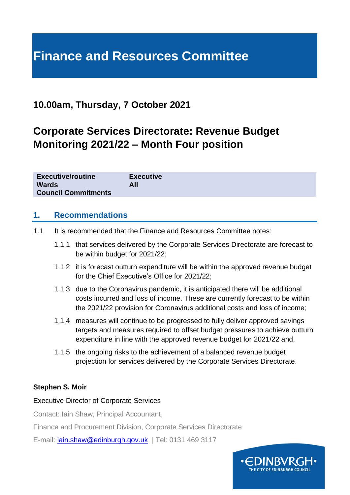# **Finance and Resources Committee**

## **10.00am, Thursday, 7 October 2021**

## **Corporate Services Directorate: Revenue Budget Monitoring 2021/22 – Month Four position**

| <b>Executive/routine</b>   | <b>Executive</b> |
|----------------------------|------------------|
| <b>Wards</b>               | All              |
| <b>Council Commitments</b> |                  |

#### **1. Recommendations**

- 1.1 It is recommended that the Finance and Resources Committee notes:
	- 1.1.1 that services delivered by the Corporate Services Directorate are forecast to be within budget for 2021/22;
	- 1.1.2 it is forecast outturn expenditure will be within the approved revenue budget for the Chief Executive's Office for 2021/22;
	- 1.1.3 due to the Coronavirus pandemic, it is anticipated there will be additional costs incurred and loss of income. These are currently forecast to be within the 2021/22 provision for Coronavirus additional costs and loss of income;
	- 1.1.4 measures will continue to be progressed to fully deliver approved savings targets and measures required to offset budget pressures to achieve outturn expenditure in line with the approved revenue budget for 2021/22 and,
	- 1.1.5 the ongoing risks to the achievement of a balanced revenue budget projection for services delivered by the Corporate Services Directorate.

#### **Stephen S. Moir**

#### Executive Director of Corporate Services

Contact: Iain Shaw, Principal Accountant,

Finance and Procurement Division, Corporate Services Directorate

E-mail: [iain.shaw@edinburgh.gov.uk](mailto:iain.shaw@edinburgh.gov.uk) | Tel: 0131 469 3117

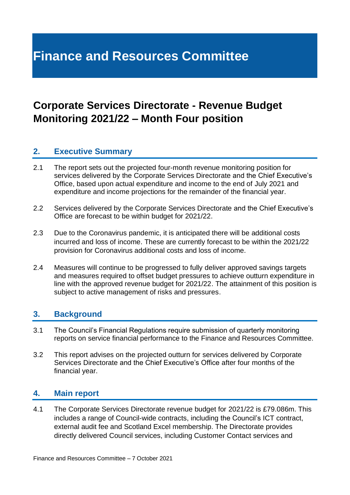## **Finance and Resources Committee**

## **Corporate Services Directorate - Revenue Budget Monitoring 2021/22 – Month Four position**

### **2. Executive Summary**

- 2.1 The report sets out the projected four-month revenue monitoring position for services delivered by the Corporate Services Directorate and the Chief Executive's Office, based upon actual expenditure and income to the end of July 2021 and expenditure and income projections for the remainder of the financial year.
- 2.2 Services delivered by the Corporate Services Directorate and the Chief Executive's Office are forecast to be within budget for 2021/22.
- 2.3 Due to the Coronavirus pandemic, it is anticipated there will be additional costs incurred and loss of income. These are currently forecast to be within the 2021/22 provision for Coronavirus additional costs and loss of income.
- 2.4 Measures will continue to be progressed to fully deliver approved savings targets and measures required to offset budget pressures to achieve outturn expenditure in line with the approved revenue budget for 2021/22. The attainment of this position is subject to active management of risks and pressures.

#### **3. Background**

- 3.1 The Council's Financial Regulations require submission of quarterly monitoring reports on service financial performance to the Finance and Resources Committee.
- 3.2 This report advises on the projected outturn for services delivered by Corporate Services Directorate and the Chief Executive's Office after four months of the financial year.

#### **4. Main report**

4.1 The Corporate Services Directorate revenue budget for 2021/22 is £79.086m. This includes a range of Council-wide contracts, including the Council's ICT contract, external audit fee and Scotland Excel membership. The Directorate provides directly delivered Council services, including Customer Contact services and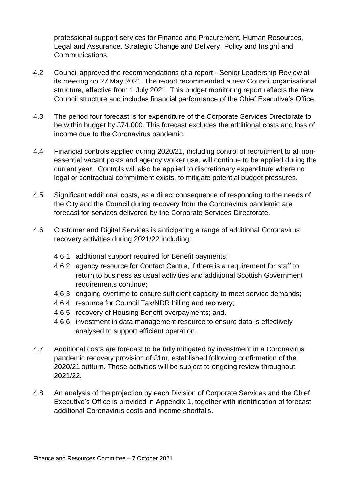professional support services for Finance and Procurement, Human Resources, Legal and Assurance, Strategic Change and Delivery, Policy and Insight and Communications.

- 4.2 Council approved the recommendations of a report Senior Leadership Review at its meeting on 27 May 2021. The report recommended a new Council organisational structure, effective from 1 July 2021. This budget monitoring report reflects the new Council structure and includes financial performance of the Chief Executive's Office.
- 4.3 The period four forecast is for expenditure of the Corporate Services Directorate to be within budget by £74,000. This forecast excludes the additional costs and loss of income due to the Coronavirus pandemic.
- 4.4 Financial controls applied during 2020/21, including control of recruitment to all nonessential vacant posts and agency worker use, will continue to be applied during the current year. Controls will also be applied to discretionary expenditure where no legal or contractual commitment exists, to mitigate potential budget pressures.
- 4.5 Significant additional costs, as a direct consequence of responding to the needs of the City and the Council during recovery from the Coronavirus pandemic are forecast for services delivered by the Corporate Services Directorate.
- 4.6 Customer and Digital Services is anticipating a range of additional Coronavirus recovery activities during 2021/22 including:
	- 4.6.1 additional support required for Benefit payments;
	- 4.6.2 agency resource for Contact Centre, if there is a requirement for staff to return to business as usual activities and additional Scottish Government requirements continue;
	- 4.6.3 ongoing overtime to ensure sufficient capacity to meet service demands;
	- 4.6.4 resource for Council Tax/NDR billing and recovery;
	- 4.6.5 recovery of Housing Benefit overpayments; and,
	- 4.6.6 investment in data management resource to ensure data is effectively analysed to support efficient operation.
- 4.7 Additional costs are forecast to be fully mitigated by investment in a Coronavirus pandemic recovery provision of £1m, established following confirmation of the 2020/21 outturn. These activities will be subject to ongoing review throughout 2021/22.
- 4.8 An analysis of the projection by each Division of Corporate Services and the Chief Executive's Office is provided in Appendix 1, together with identification of forecast additional Coronavirus costs and income shortfalls.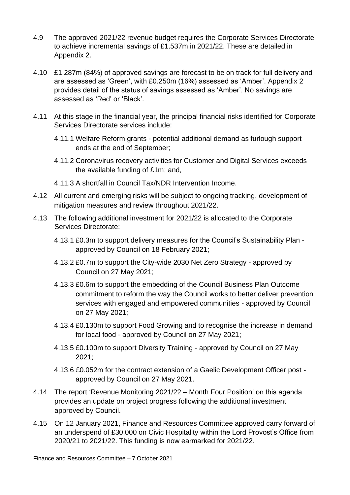- 4.9 The approved 2021/22 revenue budget requires the Corporate Services Directorate to achieve incremental savings of £1.537m in 2021/22. These are detailed in Appendix 2.
- 4.10 £1.287m (84%) of approved savings are forecast to be on track for full delivery and are assessed as 'Green', with £0.250m (16%) assessed as 'Amber'. Appendix 2 provides detail of the status of savings assessed as 'Amber'. No savings are assessed as 'Red' or 'Black'.
- 4.11 At this stage in the financial year, the principal financial risks identified for Corporate Services Directorate services include:
	- 4.11.1 Welfare Reform grants potential additional demand as furlough support ends at the end of September;
	- 4.11.2 Coronavirus recovery activities for Customer and Digital Services exceeds the available funding of £1m; and,
	- 4.11.3 A shortfall in Council Tax/NDR Intervention Income.
- 4.12 All current and emerging risks will be subject to ongoing tracking, development of mitigation measures and review throughout 2021/22.
- 4.13 The following additional investment for 2021/22 is allocated to the Corporate Services Directorate:
	- 4.13.1 £0.3m to support delivery measures for the Council's Sustainability Plan approved by Council on 18 February 2021;
	- 4.13.2 £0.7m to support the City-wide 2030 Net Zero Strategy approved by Council on 27 May 2021;
	- 4.13.3 £0.6m to support the embedding of the Council Business Plan Outcome commitment to reform the way the Council works to better deliver prevention services with engaged and empowered communities - approved by Council on 27 May 2021;
	- 4.13.4 £0.130m to support Food Growing and to recognise the increase in demand for local food - approved by Council on 27 May 2021;
	- 4.13.5 £0.100m to support Diversity Training approved by Council on 27 May 2021;
	- 4.13.6 £0.052m for the contract extension of a Gaelic Development Officer post approved by Council on 27 May 2021.
- 4.14 The report 'Revenue Monitoring 2021/22 Month Four Position' on this agenda provides an update on project progress following the additional investment approved by Council.
- 4.15 On 12 January 2021, Finance and Resources Committee approved carry forward of an underspend of £30,000 on Civic Hospitality within the Lord Provost's Office from 2020/21 to 2021/22. This funding is now earmarked for 2021/22.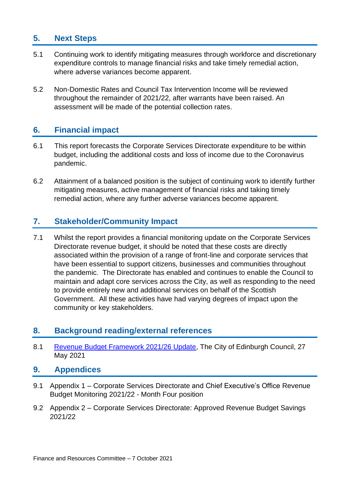## **5. Next Steps**

- 5.1 Continuing work to identify mitigating measures through workforce and discretionary expenditure controls to manage financial risks and take timely remedial action, where adverse variances become apparent.
- 5.2 Non-Domestic Rates and Council Tax Intervention Income will be reviewed throughout the remainder of 2021/22, after warrants have been raised. An assessment will be made of the potential collection rates.

## **6. Financial impact**

- 6.1 This report forecasts the Corporate Services Directorate expenditure to be within budget, including the additional costs and loss of income due to the Coronavirus pandemic.
- 6.2 Attainment of a balanced position is the subject of continuing work to identify further mitigating measures, active management of financial risks and taking timely remedial action, where any further adverse variances become apparent.

## **7. Stakeholder/Community Impact**

7.1 Whilst the report provides a financial monitoring update on the Corporate Services Directorate revenue budget, it should be noted that these costs are directly associated within the provision of a range of front-line and corporate services that have been essential to support citizens, businesses and communities throughout the pandemic. The Directorate has enabled and continues to enable the Council to maintain and adapt core services across the City, as well as responding to the need to provide entirely new and additional services on behalf of the Scottish Government. All these activities have had varying degrees of impact upon the community or key stakeholders.

### **8. Background reading/external references**

8.1 [Revenue Budget Framework 2021/26 Update,](https://democracy.edinburgh.gov.uk/documents/s34214/Item%207.2%20-%20Revenue%20Budget%20Framework%202021-26%20Update%20-%20Referral%20from%20FR%20Cttee.pdf) The City of Edinburgh Council, 27 May 2021

#### **9. Appendices**

- 9.1 Appendix 1 Corporate Services Directorate and Chief Executive's Office Revenue Budget Monitoring 2021/22 - Month Four position
- 9.2 Appendix 2 Corporate Services Directorate: Approved Revenue Budget Savings 2021/22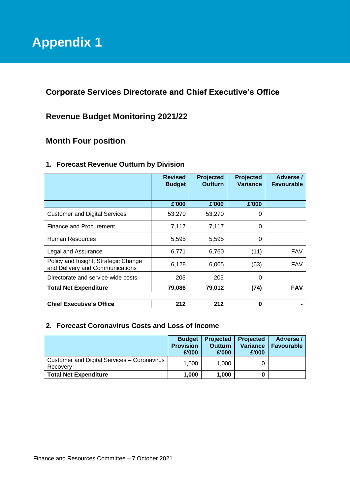**Corporate Services Directorate and Chief Executive's Office**

## **Revenue Budget Monitoring 2021/22**

## **Month Four position**

|                                                                         | <b>Revised</b><br><b>Budget</b> | Projected<br><b>Outturn</b> | <b>Projected</b><br>Variance | Adverse /<br><b>Favourable</b> |
|-------------------------------------------------------------------------|---------------------------------|-----------------------------|------------------------------|--------------------------------|
|                                                                         | £'000                           | £'000                       | £'000                        |                                |
| <b>Customer and Digital Services</b>                                    | 53,270                          | 53,270                      | 0                            |                                |
| Finance and Procurement                                                 | 7,117                           | 7,117                       | 0                            |                                |
| Human Resources                                                         | 5,595                           | 5,595                       | 0                            |                                |
| Legal and Assurance                                                     | 6,771                           | 6,760                       | (11)                         | <b>FAV</b>                     |
| Policy and Insight, Strategic Change<br>and Delivery and Communications | 6,128                           | 6,065                       | (63)                         | <b>FAV</b>                     |
| Directorate and service-wide costs.                                     | 205                             | 205                         | 0                            |                                |
| <b>Total Net Expenditure</b>                                            | 79,086                          | 79,012                      | (74)                         | <b>FAV</b>                     |
|                                                                         |                                 |                             |                              |                                |
| <b>Chief Executive's Office</b>                                         | 212                             | 212                         | 0                            |                                |

#### **1. Forecast Revenue Outturn by Division**

#### **2. Forecast Coronavirus Costs and Loss of Income**

|                                                         | <b>Budget</b><br><b>Provision</b><br>£'000 | <b>Projected</b><br><b>Outturn</b><br>£'000 | <b>Projected</b><br>Variance<br>£'000 | Adverse /<br><b>Favourable</b> |
|---------------------------------------------------------|--------------------------------------------|---------------------------------------------|---------------------------------------|--------------------------------|
| Customer and Digital Services - Coronavirus<br>Recovery | 1.000                                      | 1.000                                       |                                       |                                |
| <b>Total Net Expenditure</b>                            | 1,000                                      | 1,000                                       |                                       |                                |